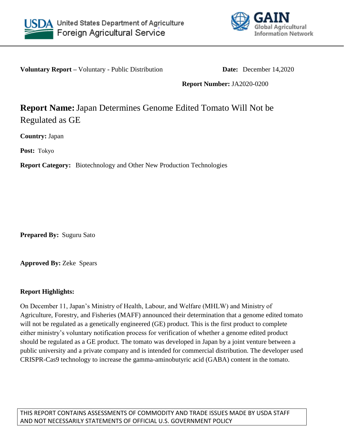



**Voluntary Report –** Voluntary - Public Distribution **Date:** December 14,2020

**Report Number:** JA2020-0200

## **Report Name:**Japan Determines Genome Edited Tomato Will Not be Regulated as GE

**Country:** Japan

**Post:** Tokyo

**Report Category:** Biotechnology and Other New Production Technologies

**Prepared By:** Suguru Sato

**Approved By:** Zeke Spears

## **Report Highlights:**

On December 11, Japan's Ministry of Health, Labour, and Welfare (MHLW) and Ministry of Agriculture, Forestry, and Fisheries (MAFF) announced their determination that a genome edited tomato will not be regulated as a genetically engineered (GE) product. This is the first product to complete either ministry's voluntary notification process for verification of whether a genome edited product should be regulated as a GE product. The tomato was developed in Japan by a joint venture between a public university and a private company and is intended for commercial distribution. The developer used CRISPR-Cas9 technology to increase the gamma-aminobutyric acid (GABA) content in the tomato.

THIS REPORT CONTAINS ASSESSMENTS OF COMMODITY AND TRADE ISSUES MADE BY USDA STAFF AND NOT NECESSARILY STATEMENTS OF OFFICIAL U.S. GOVERNMENT POLICY